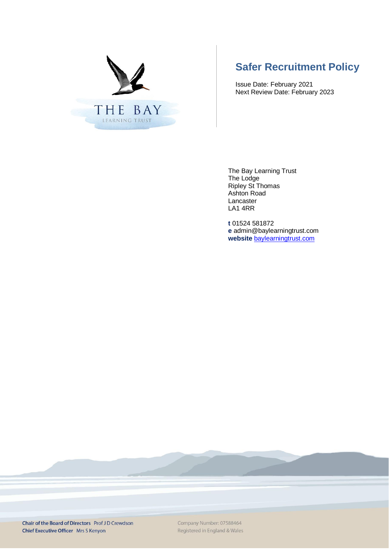

# **Safer Recruitment Policy**

Issue Date: February 2021 Next Review Date: February 2023

The Bay Learning Trust The Lodge Ripley St Thomas Ashton Road Lancaster LA1 4RR

**t** 01524 581872 **e** admin@baylearningtrust.com **website** [baylearningtrust.com](http://www.ripleystthomas.com/)

Chair of the Board of Directors Prof JD Crewdson Chief Executive Officer Mrs S Kenyon

Company Number: 07588464 Registered in England & Wales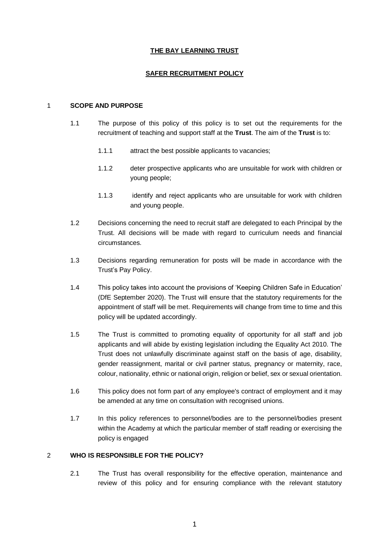# **THE BAY LEARNING TRUST**

#### **SAFER RECRUITMENT POLICY**

#### 1 **SCOPE AND PURPOSE**

- 1.1 The purpose of this policy of this policy is to set out the requirements for the recruitment of teaching and support staff at the **Trust**. The aim of the **Trust** is to:
	- 1.1.1 attract the best possible applicants to vacancies;
	- 1.1.2 deter prospective applicants who are unsuitable for work with children or young people;
	- 1.1.3 identify and reject applicants who are unsuitable for work with children and young people.
- 1.2 Decisions concerning the need to recruit staff are delegated to each Principal by the Trust. All decisions will be made with regard to curriculum needs and financial circumstances.
- 1.3 Decisions regarding remuneration for posts will be made in accordance with the Trust's Pay Policy.
- 1.4 This policy takes into account the provisions of 'Keeping Children Safe in Education' (DfE September 2020). The Trust will ensure that the statutory requirements for the appointment of staff will be met. Requirements will change from time to time and this policy will be updated accordingly.
- 1.5 The Trust is committed to promoting equality of opportunity for all staff and job applicants and will abide by existing legislation including the Equality Act 2010. The Trust does not unlawfully discriminate against staff on the basis of age, disability, gender reassignment, marital or civil partner status, pregnancy or maternity, race, colour, nationality, ethnic or national origin, religion or belief, sex or sexual orientation.
- 1.6 This policy does not form part of any employee's contract of employment and it may be amended at any time on consultation with recognised unions.
- 1.7 In this policy references to personnel/bodies are to the personnel/bodies present within the Academy at which the particular member of staff reading or exercising the policy is engaged

# 2 **WHO IS RESPONSIBLE FOR THE POLICY?**

2.1 The Trust has overall responsibility for the effective operation, maintenance and review of this policy and for ensuring compliance with the relevant statutory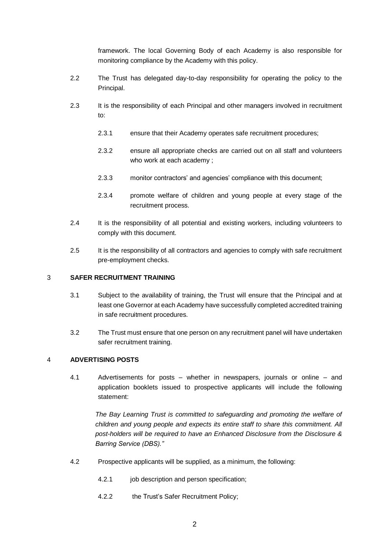framework. The local Governing Body of each Academy is also responsible for monitoring compliance by the Academy with this policy.

- 2.2 The Trust has delegated day-to-day responsibility for operating the policy to the Principal.
- 2.3 It is the responsibility of each Principal and other managers involved in recruitment to:
	- 2.3.1 ensure that their Academy operates safe recruitment procedures;
	- 2.3.2 ensure all appropriate checks are carried out on all staff and volunteers who work at each academy ;
	- 2.3.3 monitor contractors' and agencies' compliance with this document;
	- 2.3.4 promote welfare of children and young people at every stage of the recruitment process.
- 2.4 It is the responsibility of all potential and existing workers, including volunteers to comply with this document.
- 2.5 It is the responsibility of all contractors and agencies to comply with safe recruitment pre-employment checks.

#### 3 **SAFER RECRUITMENT TRAINING**

- 3.1 Subject to the availability of training, the Trust will ensure that the Principal and at least one Governor at each Academy have successfully completed accredited training in safe recruitment procedures.
- 3.2 The Trust must ensure that one person on any recruitment panel will have undertaken safer recruitment training.

# 4 **ADVERTISING POSTS**

4.1 Advertisements for posts – whether in newspapers, journals or online – and application booklets issued to prospective applicants will include the following statement:

The Bay Learning Trust is committed to safeguarding and promoting the welfare of *children and young people and expects its entire staff to share this commitment. All post-holders will be required to have an Enhanced Disclosure from the Disclosure & Barring Service (DBS)."*

- 4.2 Prospective applicants will be supplied, as a minimum, the following:
	- 4.2.1 job description and person specification;
	- 4.2.2 the Trust's Safer Recruitment Policy;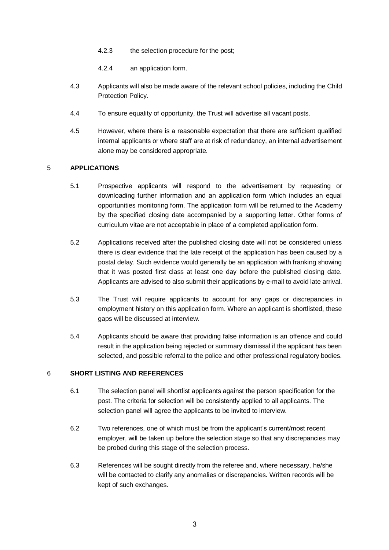- 4.2.3 the selection procedure for the post;
- 4.2.4 an application form.
- 4.3 Applicants will also be made aware of the relevant school policies, including the Child Protection Policy.
- 4.4 To ensure equality of opportunity, the Trust will advertise all vacant posts.
- 4.5 However, where there is a reasonable expectation that there are sufficient qualified internal applicants or where staff are at risk of redundancy, an internal advertisement alone may be considered appropriate.

#### 5 **APPLICATIONS**

- 5.1 Prospective applicants will respond to the advertisement by requesting or downloading further information and an application form which includes an equal opportunities monitoring form. The application form will be returned to the Academy by the specified closing date accompanied by a supporting letter. Other forms of curriculum vitae are not acceptable in place of a completed application form.
- 5.2 Applications received after the published closing date will not be considered unless there is clear evidence that the late receipt of the application has been caused by a postal delay. Such evidence would generally be an application with franking showing that it was posted first class at least one day before the published closing date. Applicants are advised to also submit their applications by e-mail to avoid late arrival.
- 5.3 The Trust will require applicants to account for any gaps or discrepancies in employment history on this application form. Where an applicant is shortlisted, these gaps will be discussed at interview.
- 5.4 Applicants should be aware that providing false information is an offence and could result in the application being rejected or summary dismissal if the applicant has been selected, and possible referral to the police and other professional regulatory bodies.

#### 6 **SHORT LISTING AND REFERENCES**

- 6.1 The selection panel will shortlist applicants against the person specification for the post. The criteria for selection will be consistently applied to all applicants. The selection panel will agree the applicants to be invited to interview.
- 6.2 Two references, one of which must be from the applicant's current/most recent employer, will be taken up before the selection stage so that any discrepancies may be probed during this stage of the selection process.
- 6.3 References will be sought directly from the referee and, where necessary, he/she will be contacted to clarify any anomalies or discrepancies. Written records will be kept of such exchanges.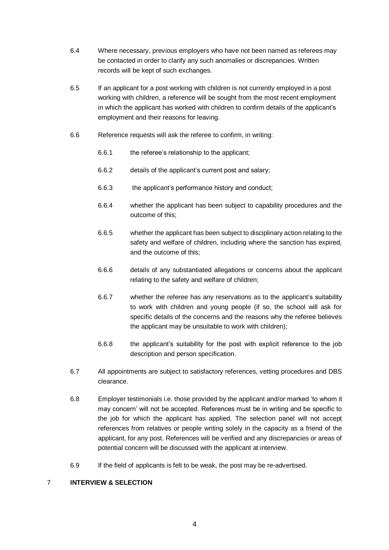- 6.4 Where necessary, previous employers who have not been named as referees may be contacted in order to clarify any such anomalies or discrepancies. Written records will be kept of such exchanges.
- 6.5 If an applicant for a post working with children is not currently employed in a post working with children, a reference will be sought from the most recent employment in which the applicant has worked with children to confirm details of the applicant's employment and their reasons for leaving.
- 6.6 Reference requests will ask the referee to confirm, in writing:
	- 6.6.1 the referee's relationship to the applicant;
	- 6.6.2 details of the applicant's current post and salary;
	- 6.6.3 the applicant's performance history and conduct;
	- 6.6.4 whether the applicant has been subject to capability procedures and the outcome of this;
	- 6.6.5 whether the applicant has been subject to disciplinary action relating to the safety and welfare of children, including where the sanction has expired, and the outcome of this;
	- 6.6.6 details of any substantiated allegations or concerns about the applicant relating to the safety and welfare of children;
	- 6.6.7 whether the referee has any reservations as to the applicant's suitability to work with children and young people (if so, the school will ask for specific details of the concerns and the reasons why the referee believes the applicant may be unsuitable to work with children);
	- 6.6.8 the applicant's suitability for the post with explicit reference to the job description and person specification.
- 6.7 All appointments are subject to satisfactory references, vetting procedures and DBS clearance.
- 6.8 Employer testimonials i.e. those provided by the applicant and/or marked 'to whom it may concern' will not be accepted. References must be in writing and be specific to the job for which the applicant has applied. The selection panel will not accept references from relatives or people writing solely in the capacity as a friend of the applicant, for any post. References will be verified and any discrepancies or areas of potential concern will be discussed with the applicant at interview.
- 6.9 If the field of applicants is felt to be weak, the post may be re-advertised.

#### 7 **INTERVIEW & SELECTION**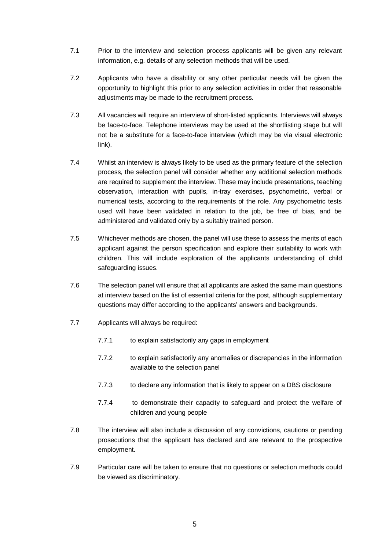- 7.1 Prior to the interview and selection process applicants will be given any relevant information, e.g. details of any selection methods that will be used.
- 7.2 Applicants who have a disability or any other particular needs will be given the opportunity to highlight this prior to any selection activities in order that reasonable adjustments may be made to the recruitment process.
- 7.3 All vacancies will require an interview of short-listed applicants. Interviews will always be face-to-face. Telephone interviews may be used at the shortlisting stage but will not be a substitute for a face-to-face interview (which may be via visual electronic link).
- 7.4 Whilst an interview is always likely to be used as the primary feature of the selection process, the selection panel will consider whether any additional selection methods are required to supplement the interview. These may include presentations, teaching observation, interaction with pupils, in-tray exercises, psychometric, verbal or numerical tests, according to the requirements of the role. Any psychometric tests used will have been validated in relation to the job, be free of bias, and be administered and validated only by a suitably trained person.
- 7.5 Whichever methods are chosen, the panel will use these to assess the merits of each applicant against the person specification and explore their suitability to work with children. This will include exploration of the applicants understanding of child safeguarding issues.
- 7.6 The selection panel will ensure that all applicants are asked the same main questions at interview based on the list of essential criteria for the post, although supplementary questions may differ according to the applicants' answers and backgrounds.
- 7.7 Applicants will always be required:
	- 7.7.1 to explain satisfactorily any gaps in employment
	- 7.7.2 to explain satisfactorily any anomalies or discrepancies in the information available to the selection panel
	- 7.7.3 to declare any information that is likely to appear on a DBS disclosure
	- 7.7.4 to demonstrate their capacity to safeguard and protect the welfare of children and young people
- 7.8 The interview will also include a discussion of any convictions, cautions or pending prosecutions that the applicant has declared and are relevant to the prospective employment.
- 7.9 Particular care will be taken to ensure that no questions or selection methods could be viewed as discriminatory.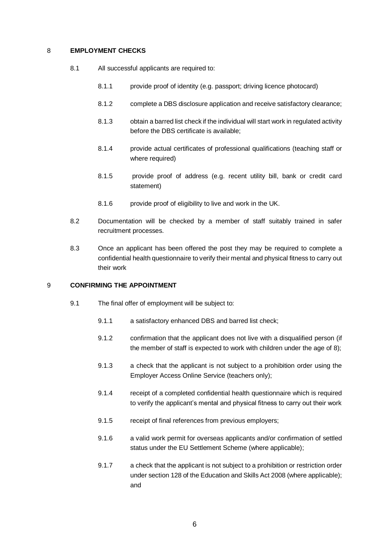#### 8 **EMPLOYMENT CHECKS**

- 8.1 All successful applicants are required to:
	- 8.1.1 provide proof of identity (e.g. passport; driving licence photocard)
	- 8.1.2 complete a DBS disclosure application and receive satisfactory clearance;
	- 8.1.3 obtain a barred list check if the individual will start work in regulated activity before the DBS certificate is available;
	- 8.1.4 provide actual certificates of professional qualifications (teaching staff or where required)
	- 8.1.5 provide proof of address (e.g. recent utility bill, bank or credit card statement)
	- 8.1.6 provide proof of eligibility to live and work in the UK.
- 8.2 Documentation will be checked by a member of staff suitably trained in safer recruitment processes.
- 8.3 Once an applicant has been offered the post they may be required to complete a confidential health questionnaire to verify their mental and physical fitness to carry out their work

# 9 **CONFIRMING THE APPOINTMENT**

- 9.1 The final offer of employment will be subject to:
	- 9.1.1 a satisfactory enhanced DBS and barred list check;
	- 9.1.2 confirmation that the applicant does not live with a disqualified person (if the member of staff is expected to work with children under the age of 8);
	- 9.1.3 a check that the applicant is not subject to a prohibition order using the Employer Access Online Service (teachers only);
	- 9.1.4 receipt of a completed confidential health questionnaire which is required to verify the applicant's mental and physical fitness to carry out their work
	- 9.1.5 receipt of final references from previous employers;
	- 9.1.6 a valid work permit for overseas applicants and/or confirmation of settled status under the EU Settlement Scheme (where applicable);
	- 9.1.7 a check that the applicant is not subject to a prohibition or restriction order under section 128 of the Education and Skills Act 2008 (where applicable); and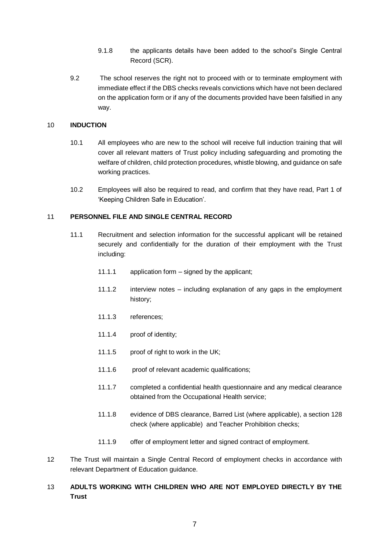- 9.1.8 the applicants details have been added to the school's Single Central Record (SCR).
- 9.2 The school reserves the right not to proceed with or to terminate employment with immediate effect if the DBS checks reveals convictions which have not been declared on the application form or if any of the documents provided have been falsified in any way.

## 10 **INDUCTION**

- 10.1 All employees who are new to the school will receive full induction training that will cover all relevant matters of Trust policy including safeguarding and promoting the welfare of children, child protection procedures, whistle blowing, and guidance on safe working practices.
- 10.2 Employees will also be required to read, and confirm that they have read, Part 1 of 'Keeping Children Safe in Education'.

# 11 **PERSONNEL FILE AND SINGLE CENTRAL RECORD**

- 11.1 Recruitment and selection information for the successful applicant will be retained securely and confidentially for the duration of their employment with the Trust including:
	- 11.1.1 application form signed by the applicant;
	- 11.1.2 interview notes including explanation of any gaps in the employment history;
	- 11.1.3 references;
	- 11.1.4 proof of identity;
	- 11.1.5 proof of right to work in the UK;
	- 11.1.6 proof of relevant academic qualifications;
	- 11.1.7 completed a confidential health questionnaire and any medical clearance obtained from the Occupational Health service;
	- 11.1.8 evidence of DBS clearance, Barred List (where applicable), a section 128 check (where applicable) and Teacher Prohibition checks;
	- 11.1.9 offer of employment letter and signed contract of employment.
- 12 The Trust will maintain a Single Central Record of employment checks in accordance with relevant Department of Education guidance.

# 13 **ADULTS WORKING WITH CHILDREN WHO ARE NOT EMPLOYED DIRECTLY BY THE Trust**